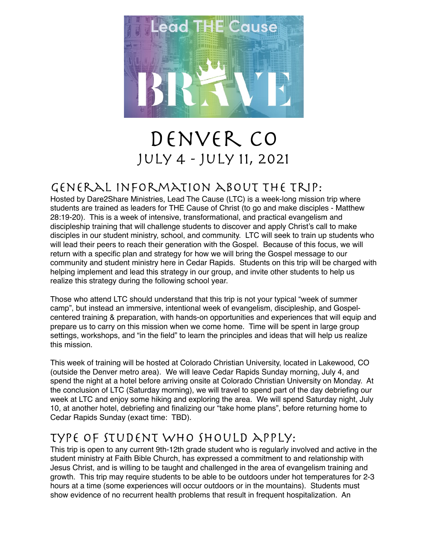

# Denver CO July 4 - July 11, 2021

## General Information about the trip:

Hosted by Dare2Share Ministries, Lead The Cause (LTC) is a week-long mission trip where students are trained as leaders for THE Cause of Christ (to go and make disciples - Matthew 28:19-20). This is a week of intensive, transformational, and practical evangelism and discipleship training that will challenge students to discover and apply Christ's call to make disciples in our student ministry, school, and community. LTC will seek to train up students who will lead their peers to reach their generation with the Gospel. Because of this focus, we will return with a specific plan and strategy for how we will bring the Gospel message to our community and student ministry here in Cedar Rapids. Students on this trip will be charged with helping implement and lead this strategy in our group, and invite other students to help us realize this strategy during the following school year.

Those who attend LTC should understand that this trip is not your typical "week of summer camp", but instead an immersive, intentional week of evangelism, discipleship, and Gospelcentered training & preparation, with hands-on opportunities and experiences that will equip and prepare us to carry on this mission when we come home. Time will be spent in large group settings, workshops, and "in the field" to learn the principles and ideas that will help us realize this mission.

This week of training will be hosted at Colorado Christian University, located in Lakewood, CO (outside the Denver metro area). We will leave Cedar Rapids Sunday morning, July 4, and spend the night at a hotel before arriving onsite at Colorado Christian University on Monday. At the conclusion of LTC (Saturday morning), we will travel to spend part of the day debriefing our week at LTC and enjoy some hiking and exploring the area. We will spend Saturday night, July 10, at another hotel, debriefing and finalizing our "take home plans", before returning home to Cedar Rapids Sunday (exact time: TBD).

## Type of student who should apply:

This trip is open to any current 9th-12th grade student who is regularly involved and active in the student ministry at Faith Bible Church, has expressed a commitment to and relationship with Jesus Christ, and is willing to be taught and challenged in the area of evangelism training and growth. This trip may require students to be able to be outdoors under hot temperatures for 2-3 hours at a time (some experiences will occur outdoors or in the mountains). Students must show evidence of no recurrent health problems that result in frequent hospitalization. An